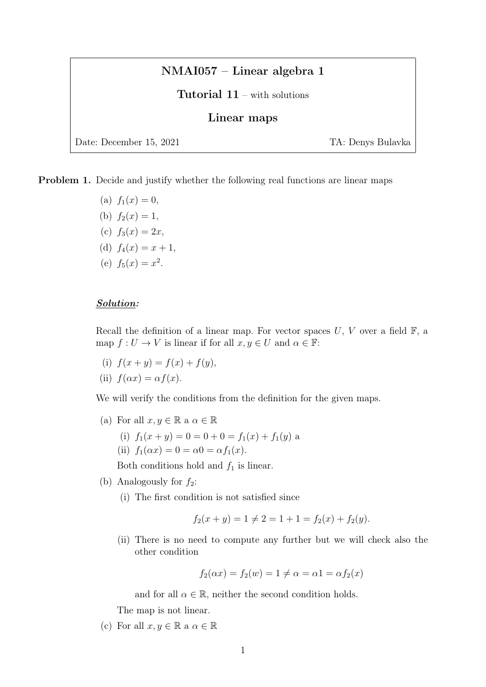# NMAI057 – Linear algebra 1

Tutorial 11 – with solutions

# Linear maps

Date: December 15, 2021 TA: Denys Bulavka

**Problem 1.** Decide and justify whether the following real functions are linear maps

(a)  $f_1(x) = 0$ , (b)  $f_2(x) = 1$ , (c)  $f_3(x) = 2x$ , (d)  $f_4(x) = x + 1$ , (e)  $f_5(x) = x^2$ .

# Solution:

Recall the definition of a linear map. For vector spaces  $U, V$  over a field  $\mathbb{F}$ , a map  $f: U \to V$  is linear if for all  $x, y \in U$  and  $\alpha \in \mathbb{F}$ :

- (i)  $f(x + y) = f(x) + f(y)$ ,
- (ii)  $f(\alpha x) = \alpha f(x)$ .

We will verify the conditions from the definition for the given maps.

- (a) For all  $x, y \in \mathbb{R}$  a  $\alpha \in \mathbb{R}$ 
	- (i)  $f_1(x + y) = 0 = 0 + 0 = f_1(x) + f_1(y)$  a
	- (ii)  $f_1(\alpha x) = 0 = \alpha 0 = \alpha f_1(x)$ .

Both conditions hold and  $f_1$  is linear.

- (b) Analogously for  $f_2$ :
	- (i) The first condition is not satisfied since

$$
f_2(x + y) = 1 \neq 2 = 1 + 1 = f_2(x) + f_2(y).
$$

(ii) There is no need to compute any further but we will check also the other condition

$$
f_2(\alpha x) = f_2(w) = 1 \neq \alpha = \alpha 1 = \alpha f_2(x)
$$

and for all  $\alpha \in \mathbb{R}$ , neither the second condition holds.

The map is not linear.

(c) For all  $x, y \in \mathbb{R}$  a  $\alpha \in \mathbb{R}$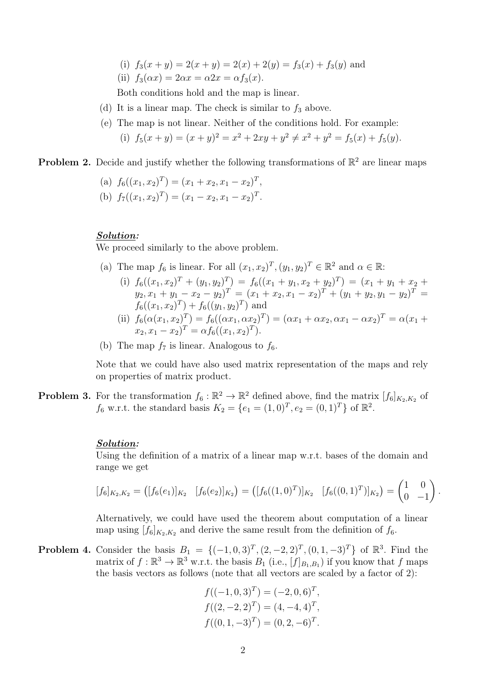- (i)  $f_3(x + y) = 2(x + y) = 2(x) + 2(y) = f_3(x) + f_3(y)$  and
- (ii)  $f_3(\alpha x) = 2\alpha x = \alpha 2x = \alpha f_3(x)$ .

Both conditions hold and the map is linear.

- (d) It is a linear map. The check is similar to  $f_3$  above.
- (e) The map is not linear. Neither of the conditions hold. For example:

(i)  $f_5(x+y) = (x+y)^2 = x^2 + 2xy + y^2 \neq x^2 + y^2 = f_5(x) + f_5(y)$ .

**Problem 2.** Decide and justify whether the following transformations of  $\mathbb{R}^2$  are linear maps

(a) 
$$
f_6((x_1, x_2)^T) = (x_1 + x_2, x_1 - x_2)^T
$$
,

(b)  $f_7((x_1, x_2)^T) = (x_1 - x_2, x_1 - x_2)^T$ .

#### Solution:

We proceed similarly to the above problem.

- (a) The map  $f_6$  is linear. For all  $(x_1, x_2)^T$ ,  $(y_1, y_2)^T \in \mathbb{R}^2$  and  $\alpha \in \mathbb{R}$ :
	- (i)  $f_6((x_1, x_2)^T + (y_1, y_2)^T) = f_6((x_1 + y_1, x_2 + y_2)^T) = (x_1 + y_1 + x_2 + y_2)^T$  $(y_2, x_1 + y_1 - x_2 - y_2)^T = (x_1 + x_2, x_1 - x_2)^T + (y_1 + y_2, y_1 - y_2)^T =$  $f_6((x_1, x_2)^T) + f_6((y_1, y_2)^T)$  and
	- (ii)  $f_6(\alpha(x_1, x_2)^T) = f_6((\alpha x_1, \alpha x_2)^T) = (\alpha x_1 + \alpha x_2, \alpha x_1 \alpha x_2)^T = \alpha(x_1 + \alpha x_2)^T$  $(x_2, x_1 - x_2)^T = \alpha f_6((x_1, x_2)^T).$
- (b) The map  $f_7$  is linear. Analogous to  $f_6$ .

Note that we could have also used matrix representation of the maps and rely on properties of matrix product.

**Problem 3.** For the transformation  $f_6 : \mathbb{R}^2 \to \mathbb{R}^2$  defined above, find the matrix  $[f_6]_{K_2,K_2}$  of  $f_6$  w.r.t. the standard basis  $K_2 = \{e_1 = (1,0)^T, e_2 = (0,1)^T\}$  of  $\mathbb{R}^2$ .

#### Solution:

Using the definition of a matrix of a linear map w.r.t. bases of the domain and range we get

$$
[f_6]_{K_2,K_2} = ([f_6(e_1)]_{K_2} \ [f_6(e_2)]_{K_2}) = ([f_6((1,0)^T)]_{K_2} \ [f_6((0,1)^T)]_{K_2}) = \begin{pmatrix} 1 & 0 \ 0 & -1 \end{pmatrix}.
$$

Alternatively, we could have used the theorem about computation of a linear map using  $[f_6]_{K_2,K_2}$  and derive the same result from the definition of  $f_6$ .

**Problem 4.** Consider the basis  $B_1 = \{(-1,0,3)^T, (2,-2,2)^T, (0,1,-3)^T\}$  of  $\mathbb{R}^3$ . Find the matrix of  $f : \mathbb{R}^3 \to \mathbb{R}^3$  w.r.t. the basis  $B_1$  (i.e.,  $[f]_{B_1,B_1}$ ) if you know that f maps the basis vectors as follows (note that all vectors are scaled by a factor of 2):

$$
f((-1, 0, 3)T) = (-2, 0, 6)T,f((2, -2, 2)T) = (4, -4, 4)T,f((0, 1, -3)T) = (0, 2, -6)T.
$$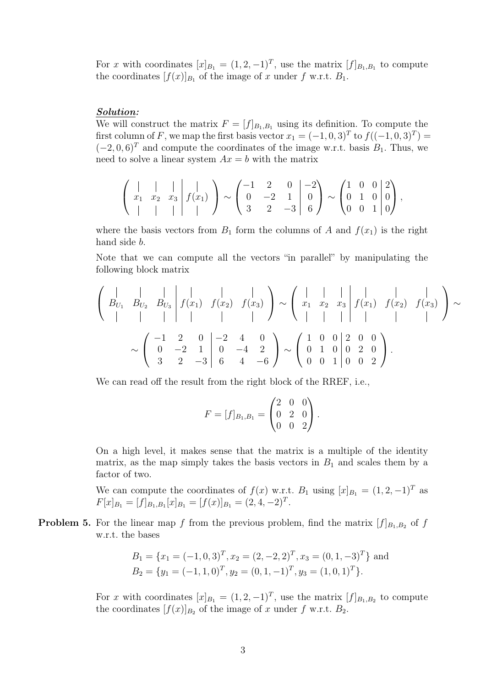For x with coordinates  $[x]_{B_1} = (1, 2, -1)^T$ , use the matrix  $[f]_{B_1, B_1}$  to compute the coordinates  $[f(x)]_{B_1}$  of the image of x under f w.r.t.  $B_1$ .

#### Solution:

We will construct the matrix  $F = [f]_{B_1,B_1}$  using its definition. To compute the first column of F, we map the first basis vector  $x_1 = (-1, 0, 3)^T$  to  $f((-1, 0, 3)^T) =$  $(-2, 0, 6)^T$  and compute the coordinates of the image w.r.t. basis  $B_1$ . Thus, we need to solve a linear system  $Ax = b$  with the matrix

$$
\left(\begin{array}{ccc|c} | & | & | \\ x_1 & x_2 & x_3 \\ | & | & | & | \end{array}\begin{array}{c} | \\ f(x_1) \\ | & | \end{array}\right) \sim \left(\begin{array}{ccc|c} -1 & 2 & 0 & -2 \\ 0 & -2 & 1 & 0 \\ 3 & 2 & -3 & 6 \end{array}\right) \sim \left(\begin{array}{ccc|c} 1 & 0 & 0 & 2 \\ 0 & 1 & 0 & 0 \\ 0 & 0 & 1 & 0 \end{array}\right),
$$

where the basis vectors from  $B_1$  form the columns of A and  $f(x_1)$  is the right hand side b.

Note that we can compute all the vectors "in parallel" by manipulating the following block matrix

$$
\left(\begin{array}{c|c|c|c|c|c} & | & | & | & | & | \\ B_{U_1} & B_{U_2} & B_{U_3} & f(x_1) & f(x_2) & f(x_3) \\ | & | & | & | & | & | \end{array}\right) \sim \left(\begin{array}{c|c|c|c} & | & | & | & | & | & | \\ x_1 & x_2 & x_3 & f(x_1) & f(x_2) & f(x_3) \\ | & | & | & | & | & | & | \end{array}\right) \sim \right)
$$

$$
\sim \left(\begin{array}{ccc|c} -1 & 2 & 0 & -2 & 4 & 0 \\ 0 & -2 & 1 & 0 & -4 & 2 \\ 3 & 2 & -3 & 6 & 4 & -6 \end{array}\right) \sim \left(\begin{array}{ccc|c} 1 & 0 & 0 & 2 & 0 & 0 \\ 0 & 1 & 0 & 0 & 2 & 0 \\ 0 & 0 & 1 & 0 & 0 & 2 \end{array}\right).
$$

We can read off the result from the right block of the RREF, i.e.,

$$
F = [f]_{B_1, B_1} = \begin{pmatrix} 2 & 0 & 0 \\ 0 & 2 & 0 \\ 0 & 0 & 2 \end{pmatrix}.
$$

On a high level, it makes sense that the matrix is a multiple of the identity matrix, as the map simply takes the basis vectors in  $B_1$  and scales them by a factor of two.

We can compute the coordinates of  $f(x)$  w.r.t.  $B_1$  using  $[x]_{B_1} = (1, 2, -1)^T$  as  $F[x]_{B_1} = [f]_{B_1, B_1}[x]_{B_1} = [f(x)]_{B_1} = (2, 4, -2)^T.$ 

**Problem 5.** For the linear map f from the previous problem, find the matrix  $[f]_{B_1,B_2}$  of f w.r.t. the bases

$$
B_1 = \{x_1 = (-1, 0, 3)^T, x_2 = (2, -2, 2)^T, x_3 = (0, 1, -3)^T\}
$$
 and  

$$
B_2 = \{y_1 = (-1, 1, 0)^T, y_2 = (0, 1, -1)^T, y_3 = (1, 0, 1)^T\}.
$$

For x with coordinates  $[x]_{B_1} = (1, 2, -1)^T$ , use the matrix  $[f]_{B_1, B_2}$  to compute the coordinates  $[f(x)]_{B_2}$  of the image of x under f w.r.t.  $B_2$ .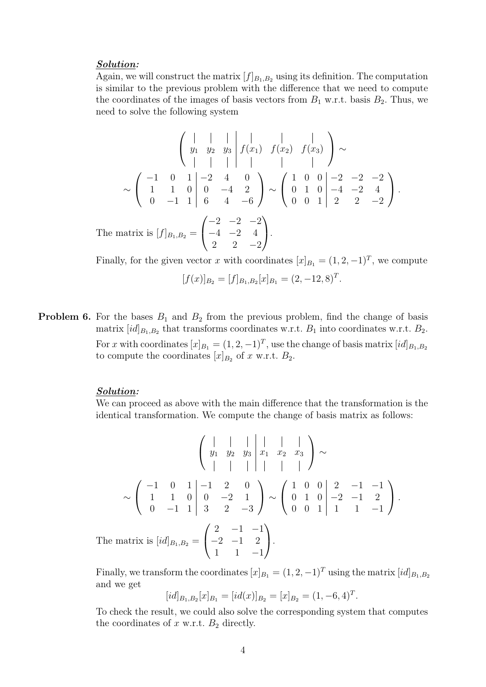#### Solution:

Again, we will construct the matrix  $[f]_{B_1,B_2}$  using its definition. The computation is similar to the previous problem with the difference that we need to compute the coordinates of the images of basis vectors from  $B_1$  w.r.t. basis  $B_2$ . Thus, we need to solve the following system

$$
\begin{pmatrix}\n| & | & | & | \\
y_1 & y_2 & y_3 \\
| & | & | & | \\
| & | & | & | \\
\end{pmatrix}\n\begin{pmatrix}\n| & | & | \\
f(x_1) & f(x_2) & f(x_3) \\
| & | & | & |\n\end{pmatrix} \sim
$$
\n
$$
\sim \begin{pmatrix}\n-1 & 0 & 1 & -2 & 4 & 0 \\
1 & 1 & 0 & 0 & -4 & 2 \\
0 & -1 & 1 & 6 & 4 & -6\n\end{pmatrix} \sim \begin{pmatrix}\n1 & 0 & 0 & -2 & -2 & -2 \\
0 & 1 & 0 & -4 & -2 & 4 \\
0 & 0 & 1 & 2 & 2 & -2\n\end{pmatrix}.
$$
\nThe matrix is  $[f]_{B_1, B_2} = \begin{pmatrix}\n-2 & -2 & -2 \\
-4 & -2 & 4 \\
2 & 2 & -2\n\end{pmatrix}.$ 

Finally, for the given vector x with coordinates  $[x]_{B_1} = (1, 2, -1)^T$ , we compute  $[f(x)]_{B_2} = [f]_{B_1, B_2}[x]_{B_1} = (2, -12, 8)^T.$ 

**Problem 6.** For the bases  $B_1$  and  $B_2$  from the previous problem, find the change of basis matrix  $(id]_{B_1,B_2}$  that transforms coordinates w.r.t.  $B_1$  into coordinates w.r.t.  $B_2$ . For x with coordinates  $[x]_{B_1} = (1, 2, -1)^T$ , use the change of basis matrix  $[id]_{B_1, B_2}$ to compute the coordinates  $[x]_{B_2}$  of x w.r.t.  $B_2$ .

## Solution:

We can proceed as above with the main difference that the transformation is the identical transformation. We compute the change of basis matrix as follows:

$$
\begin{pmatrix}\n| & | & | & | & | \\
y_1 & y_2 & y_3 & x_1 & x_2 & x_3 \\
| & | & | & | & | & | & \n\end{pmatrix} \sim
$$
\n
$$
\sim \begin{pmatrix}\n-1 & 0 & 1 & -1 & 2 & 0 \\
1 & 1 & 0 & 0 & -2 & 1 \\
0 & -1 & 1 & 3 & 2 & -3\n\end{pmatrix} \sim \begin{pmatrix}\n1 & 0 & 0 & 2 & -1 & -1 \\
0 & 1 & 0 & -2 & -1 & 2 \\
0 & 0 & 1 & 1 & 1 & -1\n\end{pmatrix}.
$$
\nThe matrix is  $[id]_{B_1, B_2} = \begin{pmatrix}\n2 & -1 & -1 & 2 \\
-2 & -1 & 2 \\
1 & 1 & -1\n\end{pmatrix}.$ 

Finally, we transform the coordinates  $[x]_{B_1} = (1, 2, -1)^T$  using the matrix  $(id]_{B_1, B_2}$ and we get

$$
[id]_{B_1,B_2}[x]_{B_1} = [id(x)]_{B_2} = [x]_{B_2} = (1, -6, 4)^T.
$$

To check the result, we could also solve the corresponding system that computes the coordinates of  $x$  w.r.t.  $B_2$  directly.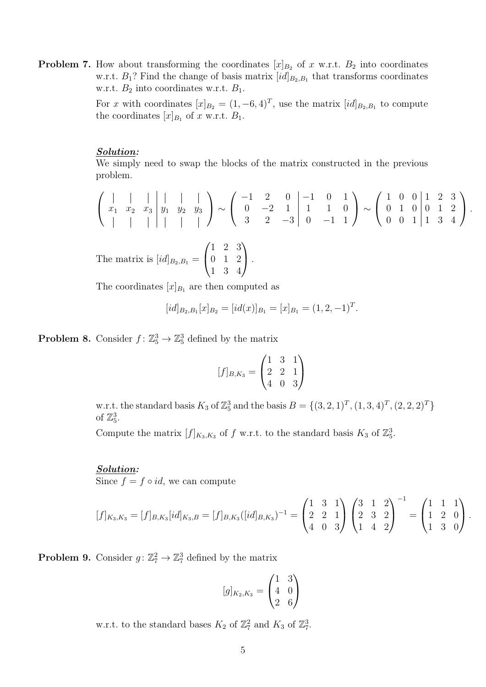**Problem 7.** How about transforming the coordinates  $[x]_{B_2}$  of x w.r.t.  $B_2$  into coordinates w.r.t.  $B_1$ ? Find the change of basis matrix  $[id]_{B_2,B_1}$  that transforms coordinates w.r.t.  $B_2$  into coordinates w.r.t.  $B_1$ .

> For x with coordinates  $[x]_{B_2} = (1, -6, 4)^T$ , use the matrix  $[id]_{B_2, B_1}$  to compute the coordinates  $[x]_{B_1}$  of x w.r.t.  $B_1$ .

### Solution:

We simply need to swap the blocks of the matrix constructed in the previous problem.

 <sup>x</sup><sup>1</sup> <sup>x</sup><sup>2</sup> <sup>x</sup><sup>3</sup> <sup>y</sup><sup>1</sup> <sup>y</sup><sup>2</sup> <sup>y</sup><sup>3</sup> <sup>∼</sup> −1 2 0 −1 0 1 0 −2 1 1 1 0 3 2 −3 0 −1 1 <sup>∼</sup> 1 0 0 1 2 3 0 1 0 0 1 2 0 0 1 1 3 4 .

The matrix is  $(id]_{B_2,B_1} =$  $\sqrt{ }$  $\overline{1}$ 1 2 3 0 1 2 1 3 4  $\setminus$  $\vert \cdot$ 

The coordinates  $[x]_{B_1}$  are then computed as

$$
[id]_{B_2,B_1}[x]_{B_2} = [id(x)]_{B_1} = [x]_{B_1} = (1,2,-1)^T.
$$

**Problem 8.** Consider  $f: \mathbb{Z}_5^3 \to \mathbb{Z}_5^3$  defined by the matrix

$$
[f]_{B,K_3} = \begin{pmatrix} 1 & 3 & 1 \\ 2 & 2 & 1 \\ 4 & 0 & 3 \end{pmatrix}
$$

w.r.t. the standard basis  $K_3$  of  $\mathbb{Z}_5^3$  and the basis  $B = \{(3, 2, 1)^T, (1, 3, 4)^T, (2, 2, 2)^T\}$ of  $\mathbb{Z}_5^3$ .

Compute the matrix  $[f]_{K_3,K_3}$  of f w.r.t. to the standard basis  $K_3$  of  $\mathbb{Z}_5^3$ .

# Solution:

Since  $f = f \circ id$ , we can compute

$$
[f]_{K_3,K_3} = [f]_{B,K_3}[id]_{K_3,B} = [f]_{B,K_3}([id]_{B,K_3})^{-1} = \begin{pmatrix} 1 & 3 & 1 \\ 2 & 2 & 1 \\ 4 & 0 & 3 \end{pmatrix} \begin{pmatrix} 3 & 1 & 2 \\ 2 & 3 & 2 \\ 1 & 4 & 2 \end{pmatrix}^{-1} = \begin{pmatrix} 1 & 1 & 1 \\ 1 & 2 & 0 \\ 1 & 3 & 0 \end{pmatrix}.
$$

**Problem 9.** Consider  $g: \mathbb{Z}_7^2 \to \mathbb{Z}_7^3$  defined by the matrix

$$
[g]_{K_2,K_3} = \begin{pmatrix} 1 & 3 \\ 4 & 0 \\ 2 & 6 \end{pmatrix}
$$

w.r.t. to the standard bases  $K_2$  of  $\mathbb{Z}_7^2$  and  $K_3$  of  $\mathbb{Z}_7^3$ .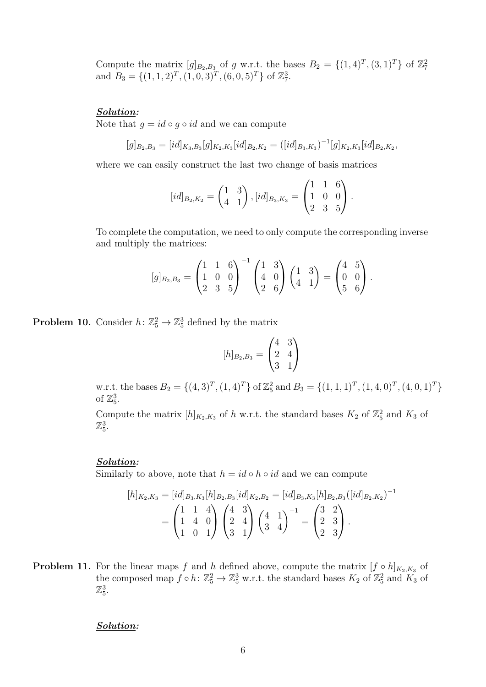Compute the matrix  $[g]_{B_2,B_3}$  of g w.r.t. the bases  $B_2 = \{(1,4)^T, (3,1)^T\}$  of  $\mathbb{Z}_7^2$  and  $B_3 = \{(1,1,2)^T, (1,0,3)^T, (6,0,5)^T\}$  of  $\mathbb{Z}_7^3$ .

# Solution:

Note that  $q = id \circ q \circ id$  and we can compute

$$
[g]_{B_2,B_3} = [id]_{K_3,B_3}[g]_{K_2,K_3}[id]_{B_2,K_2} = ([id]_{B_3,K_3})^{-1}[g]_{K_2,K_3}[id]_{B_2,K_2},
$$

where we can easily construct the last two change of basis matrices

$$
[id]_{B_2,K_2} = \begin{pmatrix} 1 & 3 \\ 4 & 1 \end{pmatrix}, [id]_{B_3,K_3} = \begin{pmatrix} 1 & 1 & 6 \\ 1 & 0 & 0 \\ 2 & 3 & 5 \end{pmatrix}.
$$

To complete the computation, we need to only compute the corresponding inverse and multiply the matrices:

$$
[g]_{B_2,B_3} = \begin{pmatrix} 1 & 1 & 6 \\ 1 & 0 & 0 \\ 2 & 3 & 5 \end{pmatrix}^{-1} \begin{pmatrix} 1 & 3 \\ 4 & 0 \\ 2 & 6 \end{pmatrix} \begin{pmatrix} 1 & 3 \\ 4 & 1 \end{pmatrix} = \begin{pmatrix} 4 & 5 \\ 0 & 0 \\ 5 & 6 \end{pmatrix}.
$$

**Problem 10.** Consider  $h: \mathbb{Z}_5^2 \to \mathbb{Z}_5^3$  defined by the matrix

$$
[h]_{B_2,B_3} = \begin{pmatrix} 4 & 3 \\ 2 & 4 \\ 3 & 1 \end{pmatrix}
$$

w.r.t. the bases  $B_2 = \{(4,3)^T, (1,4)^T\}$  of  $\mathbb{Z}_5^2$  and  $B_3 = \{(1,1,1)^T, (1,4,0)^T, (4,0,1)^T\}$ of  $\mathbb{Z}_5^3$ .

Compute the matrix  $[h]_{K_2,K_3}$  of h w.r.t. the standard bases  $K_2$  of  $\mathbb{Z}_5^2$  and  $K_3$  of  $\mathbb{Z}_5^3$ .

#### Solution:

Similarly to above, note that  $h = id \circ h \circ id$  and we can compute

$$
[h]_{K_2,K_3} = [id]_{B_3,K_3}[h]_{B_2,B_3}[id]_{K_2,B_2} = [id]_{B_3,K_3}[h]_{B_2,B_3}([id]_{B_2,K_2})^{-1}
$$
  
=  $\begin{pmatrix} 1 & 1 & 4 \\ 1 & 4 & 0 \\ 1 & 0 & 1 \end{pmatrix} \begin{pmatrix} 4 & 3 \\ 2 & 4 \\ 3 & 1 \end{pmatrix} \begin{pmatrix} 4 & 1 \\ 3 & 4 \end{pmatrix}^{-1} = \begin{pmatrix} 3 & 2 \\ 2 & 3 \\ 2 & 3 \end{pmatrix}.$ 

**Problem 11.** For the linear maps f and h defined above, compute the matrix  $[f \circ h]_{K_2,K_3}$  of the composed map  $f \circ h: \mathbb{Z}_5^2 \to \mathbb{Z}_5^3$  w.r.t. the standard bases  $K_2$  of  $\mathbb{Z}_5^2$  and  $K_3$  of  $\mathbb{Z}_5^3$ .

### Solution: